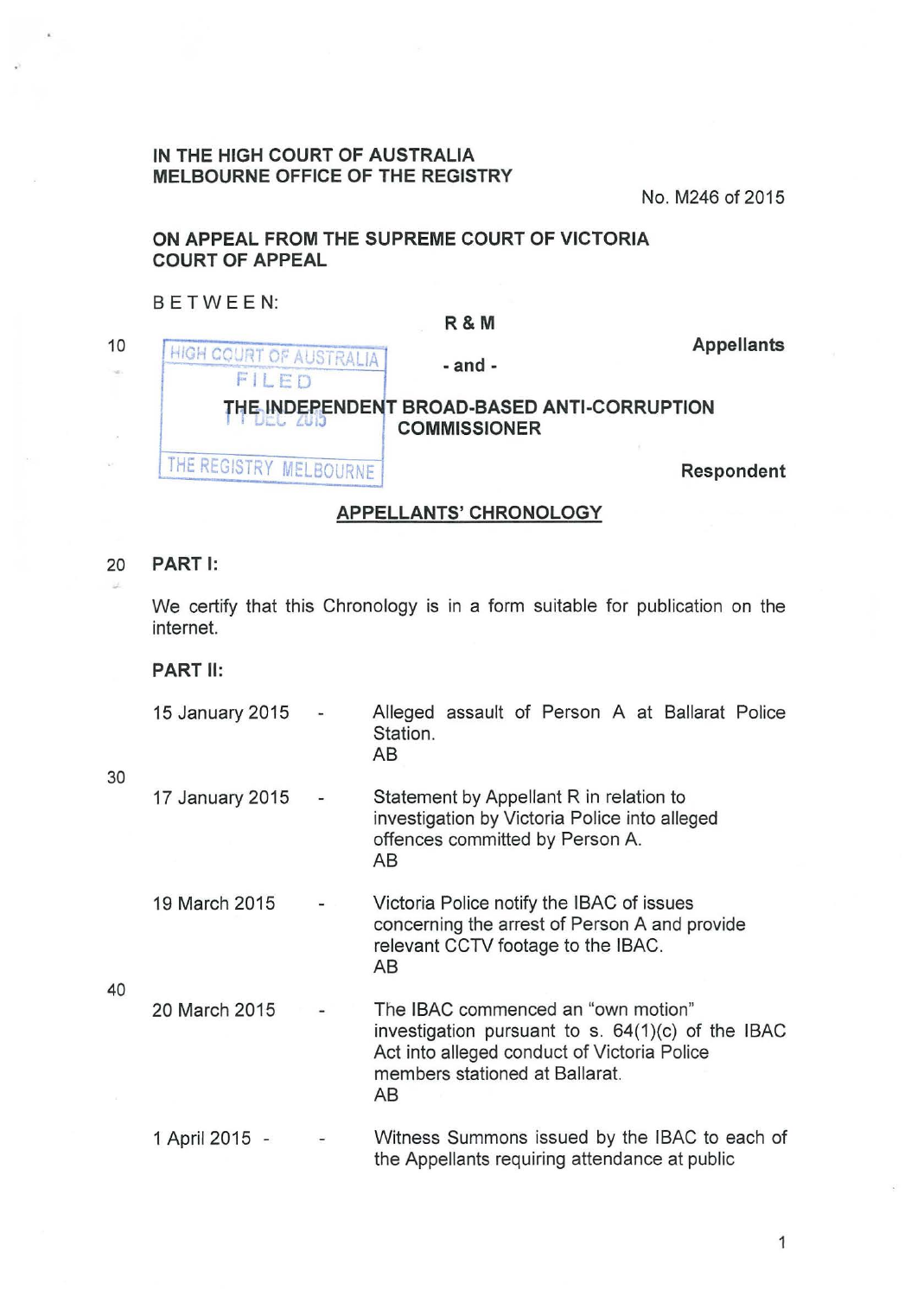## **IN THE HIGH COURT OF AUSTRALIA MELBOURNE OFFICE OF THE REGISTRY**

No. M246 of 2015

# **ON APPEAL FROM THE SUPREME COURT OF VICTORIA COURT OF APPEAL**

#### 8 E TWEEN:

|    |                                        | <b>K &amp; M</b>                                                   |                   |
|----|----------------------------------------|--------------------------------------------------------------------|-------------------|
| 10 | HIGH COURT OF AUSTRALIA<br>$F +$<br>FD | $-$ and $-$                                                        | <b>Appellants</b> |
|    |                                        | THE INDEPENDENT BROAD-BASED ANTI-CORRUPTION<br><b>COMMISSIONER</b> |                   |
|    | THE REGISTRY MELBOURNE'                |                                                                    | Respondent        |

**R&M** 

### **APPELLANTS' CHRONOLOGY**

# 20 **PART 1:**

We certify that this Chronology is in a form suitable for publication on the internet.

**PART** II:

| 15 January 2015<br>$\sim$ 100 $\sim$ 100 $\sim$ | Alleged assault of Person A at Ballarat Police<br>Station.<br>AB. |  |  |  |  |  |  |  |
|-------------------------------------------------|-------------------------------------------------------------------|--|--|--|--|--|--|--|
|-------------------------------------------------|-------------------------------------------------------------------|--|--|--|--|--|--|--|

- 17 January 2015 Statement by Appellant R in relation to investigation by Victoria Police into alleged offences committed by Person A. AS
- 19 March 2015 Victoria Police notify the IBAC of issues concerning the arrest of Person A and provide relevant CCTV footage to the IBAC. AS

40

30

20 March 2015 The IBAC commenced an "own motion" investigation pursuant to s.  $64(1)(c)$  of the IBAC Act into alleged conduct of Victoria Police members stationed at Ballarat. AB

1 April 2015 - Witness Summons issued by the IBAC to each of the Appellants requiring attendance at public

1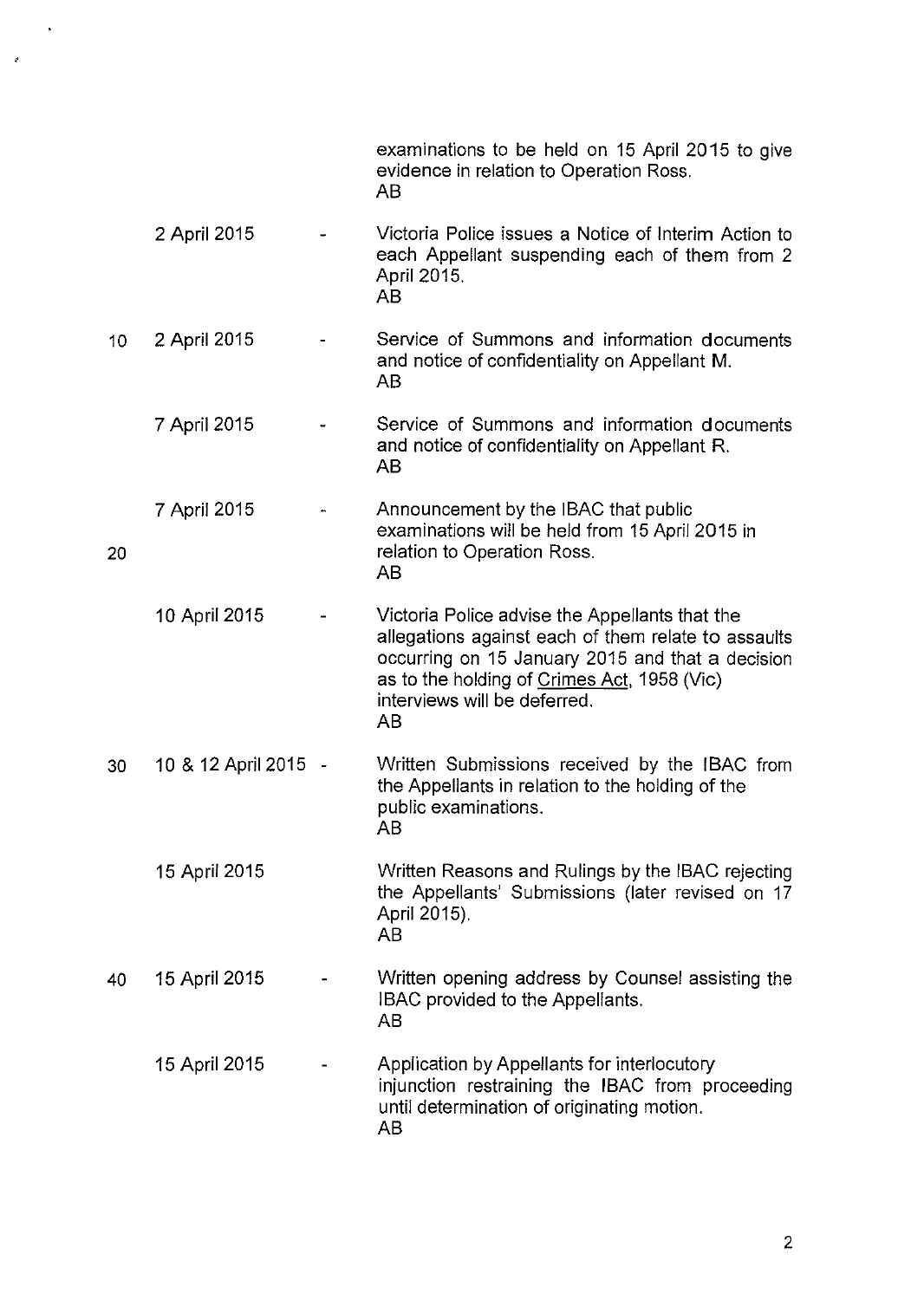|                 |                      | examinations to be held on 15 April 2015 to give<br>evidence in relation to Operation Ross.<br>AB                                                                                                                                              |
|-----------------|----------------------|------------------------------------------------------------------------------------------------------------------------------------------------------------------------------------------------------------------------------------------------|
|                 | 2 April 2015         | Victoria Police issues a Notice of Interim Action to<br>each Appellant suspending each of them from 2<br>April 2015.<br>AB                                                                                                                     |
| 10 <sub>1</sub> | 2 April 2015         | Service of Summons and information documents<br>and notice of confidentiality on Appellant M.<br>AB                                                                                                                                            |
|                 | 7 April 2015         | Service of Summons and information documents<br>and notice of confidentiality on Appellant R.<br>AВ                                                                                                                                            |
| 20              | 7 April 2015         | Announcement by the IBAC that public<br>examinations will be held from 15 April 2015 in<br>relation to Operation Ross.<br>AB                                                                                                                   |
|                 | 10 April 2015        | Victoria Police advise the Appellants that the<br>allegations against each of them relate to assaults<br>occurring on 15 January 2015 and that a decision<br>as to the holding of Crimes Act, 1958 (Vic)<br>interviews will be deferred.<br>AB |
| 30              | 10 & 12 April 2015 - | Written Submissions received by the IBAC from<br>the Appellants in relation to the holding of the<br>public examinations.<br>AB                                                                                                                |
|                 | 15 April 2015        | Written Reasons and Rulings by the IBAC rejecting<br>the Appellants' Submissions (later revised on 17<br>April 2015).<br>AB                                                                                                                    |
| 40              | 15 April 2015        | Written opening address by Counsel assisting the<br>IBAC provided to the Appellants.<br>AВ                                                                                                                                                     |
|                 | 15 April 2015        | Application by Appellants for interlocutory<br>injunction restraining the IBAC from proceeding<br>until determination of originating motion.<br>AB                                                                                             |

 $\ddot{\phantom{0}}$ 

 $\epsilon$